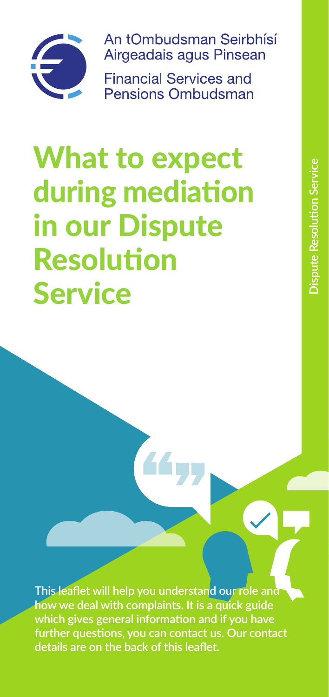

An tOmbudsman Seirbhísí Airgeadais agus Pinsean

**Financial Services and** Pensions Ombudsman

# What to expect during mediation in our Dispute Resolution Service

**This leaflet will help you understand our role and how we deal with complaints. It is a quick guide which gives general information and if you have further questions, you can contact us. Our contact details are on the back of this leaflet.**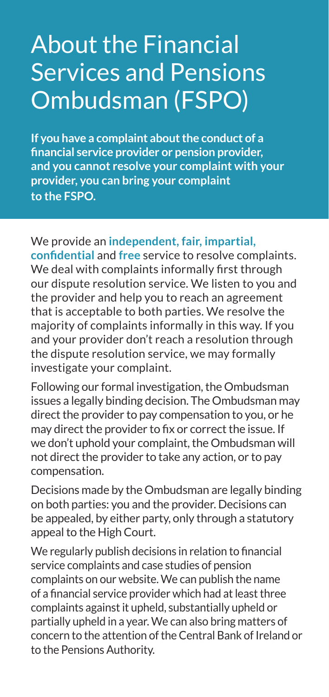# About the Financial Services and Pensions Ombudsman (FSPO)

**If you have a complaint about the conduct of a financial service provider or pension provider, and you cannot resolve your complaint with your provider, you can bring your complaint to the FSPO.**

We provide an **independent, fair, impartial,**

**confidential** and **free** service to resolve complaints. We deal with complaints informally first through our dispute resolution service. We listen to you and the provider and help you to reach an agreement that is acceptable to both parties. We resolve the majority of complaints informally in this way. If you and your provider don't reach a resolution through the dispute resolution service, we may formally investigate your complaint.

Following our formal investigation, the Ombudsman issues a legally binding decision. The Ombudsman may direct the provider to pay compensation to you, or he may direct the provider to fix or correct the issue. If we don't uphold your complaint, the Ombudsman will not direct the provider to take any action, or to pay compensation.

Decisions made by the Ombudsman are legally binding on both parties: you and the provider. Decisions can be appealed, by either party, only through a statutory appeal to the High Court.

We regularly publish decisions in relation to financial service complaints and case studies of pension complaints on our website. We can publish the name of a financial service provider which had at least three complaints against it upheld, substantially upheld or partially upheld in a year. We can also bring matters of concern to the attention of the Central Bank of Ireland or to the Pensions Authority.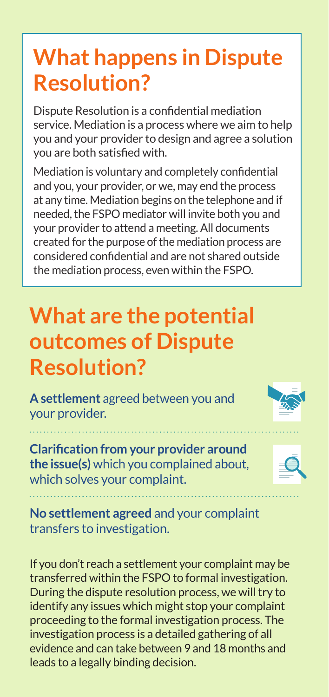### **What happens in Dispute Resolution?**

Dispute Resolution is a confidential mediation service. Mediation is a process where we aim to help you and your provider to design and agree a solution you are both satisfied with.

Mediation is voluntary and completely confidential and you, your provider, or we, may end the process at any time. Mediation begins on the telephone and if needed, the FSPO mediator will invite both you and your provider to attend a meeting. All documents created for the purpose of the mediation process are considered confidential and are not shared outside the mediation process, even within the FSPO.

### **What are the potential outcomes of Dispute Resolution?**

**A settlement** agreed between you and your provider.

**Clarification from your provider around the issue(s)** which you complained about, which solves your complaint.



**No settlement agreed** and your complaint transfers to investigation.

If you don't reach a settlement your complaint may be transferred within the FSPO to formal investigation. During the dispute resolution process, we will try to identify any issues which might stop your complaint proceeding to the formal investigation process. The investigation process is a detailed gathering of all evidence and can take between 9 and 18 months and leads to a legally binding decision.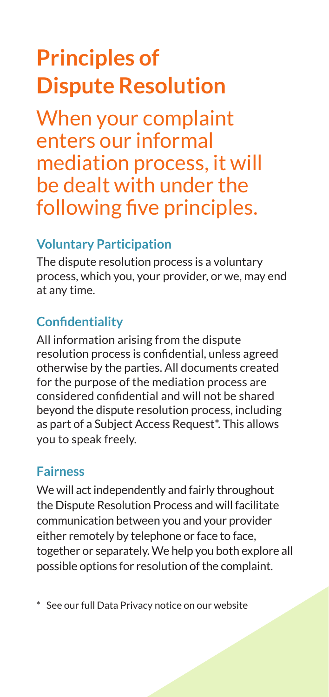# **Principles of Dispute Resolution**

When your complaint enters our informal mediation process, it will be dealt with under the following five principles.

#### **Voluntary Participation**

The dispute resolution process is a voluntary process, which you, your provider, or we, may end at any time.

#### **Confidentiality**

All information arising from the dispute resolution process is confidential, unless agreed otherwise by the parties. All documents created for the purpose of the mediation process are considered confidential and will not be shared beyond the dispute resolution process, including as part of a Subject Access Request\*. This allows you to speak freely.

#### **Fairness**

We will act independently and fairly throughout the Dispute Resolution Process and will facilitate communication between you and your provider either remotely by telephone or face to face, together or separately. We help you both explore all possible options for resolution of the complaint.

\* See our full Data Privacy notice on our website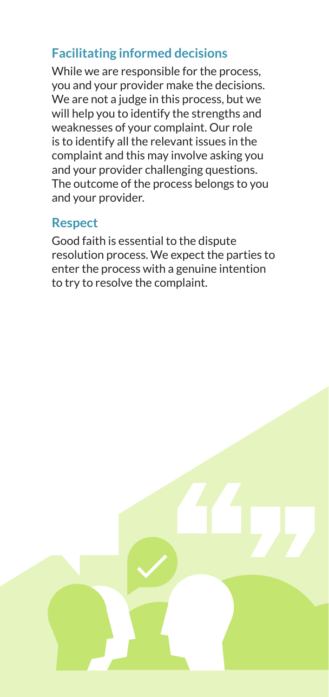#### **Facilitating informed decisions**

While we are responsible for the process, you and your provider make the decisions. We are not a judge in this process, but we will help you to identify the strengths and weaknesses of your complaint. Our role is to identify all the relevant issues in the complaint and this may involve asking you and your provider challenging questions. The outcome of the process belongs to you and your provider.

#### **Respect**

Good faith is essential to the dispute resolution process. We expect the parties to enter the process with a genuine intention to try to resolve the complaint.